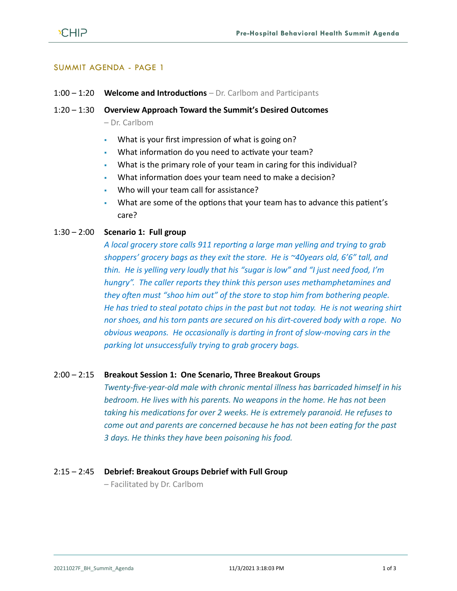

## SUMMIT AGENDA - PAGE 1

#### 1:00 – 1:20 **Welcome and Introductions** – Dr. Carlbom and Participants

#### 1:20 – 1:30 **Overview Approach Toward the Summit's Desired Outcomes**

– Dr. Carlbom

- What is your first impression of what is going on?
- What information do you need to activate your team?
- What is the primary role of your team in caring for this individual?
- What information does your team need to make a decision?
- Who will your team call for assistance?
- What are some of the options that your team has to advance this patient's care?

# 1:30 – 2:00 **Scenario 1: Full group**

*A local grocery store calls 911 reporting a large man yelling and trying to grab shoppers' grocery bags as they exit the store. He is ~40years old, 6'6" tall, and thin. He is yelling very loudly that his "sugar is low" and "I just need food, I'm hungry". The caller reports they think this person uses methamphetamines and they often must "shoo him out" of the store to stop him from bothering people. He has tried to steal potato chips in the past but not today. He is not wearing shirt nor shoes, and his torn pants are secured on his dirt-covered body with a rope. No obvious weapons. He occasionally is darting in front of slow-moving cars in the parking lot unsuccessfully trying to grab grocery bags.*

#### 2:00 – 2:15 **Breakout Session 1: One Scenario, Three Breakout Groups**

*Twenty-five-year-old male with chronic mental illness has barricaded himself in his bedroom. He lives with his parents. No weapons in the home. He has not been taking his medications for over 2 weeks. He is extremely paranoid. He refuses to come out and parents are concerned because he has not been eating for the past 3 days. He thinks they have been poisoning his food.*

#### 2:15 – 2:45 **Debrief: Breakout Groups Debrief with Full Group**

– Facilitated by Dr. Carlbom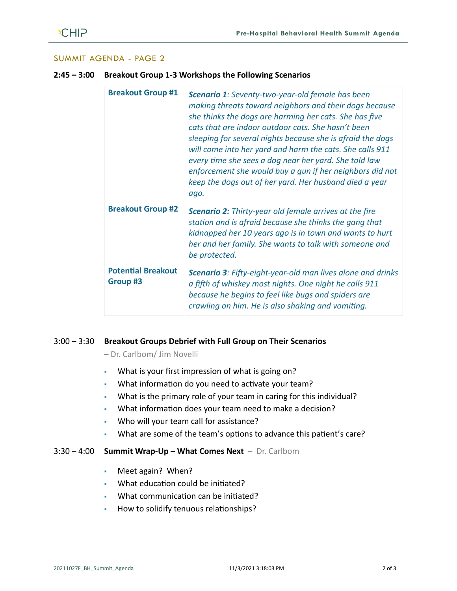# SUMMIT AGENDA - PAGE 2

|  | <b>Breakout Group #1</b>              | Scenario 1: Seventy-two-year-old female has been<br>making threats toward neighbors and their dogs because<br>she thinks the dogs are harming her cats. She has five<br>cats that are indoor outdoor cats. She hasn't been<br>sleeping for several nights because she is afraid the dogs<br>will come into her yard and harm the cats. She calls 911<br>every time she sees a dog near her yard. She told law<br>enforcement she would buy a qun if her neighbors did not<br>keep the dogs out of her yard. Her husband died a year<br>ago. |
|--|---------------------------------------|---------------------------------------------------------------------------------------------------------------------------------------------------------------------------------------------------------------------------------------------------------------------------------------------------------------------------------------------------------------------------------------------------------------------------------------------------------------------------------------------------------------------------------------------|
|  | <b>Breakout Group #2</b>              | <b>Scenario 2:</b> Thirty-year old female arrives at the fire<br>station and is afraid because she thinks the gang that<br>kidnapped her 10 years ago is in town and wants to hurt<br>her and her family. She wants to talk with someone and<br>be protected.                                                                                                                                                                                                                                                                               |
|  | <b>Potential Breakout</b><br>Group #3 | <b>Scenario 3: Fifty-eight-year-old man lives alone and drinks</b><br>a fifth of whiskey most nights. One night he calls 911<br>because he begins to feel like bugs and spiders are<br>crawling on him. He is also shaking and vomiting.                                                                                                                                                                                                                                                                                                    |

**2:45 – 3:00 Breakout Group 1-3 Workshops the Following Scenarios**

# 3:00 – 3:30 **Breakout Groups Debrief with Full Group on Their Scenarios**

– Dr. Carlbom/ Jim Novelli

- What is your first impression of what is going on?
- What information do you need to activate your team?
- What is the primary role of your team in caring for this individual?
- What information does your team need to make a decision?
- Who will your team call for assistance?
- What are some of the team's options to advance this patient's care?

#### 3:30 – 4:00 **Summit Wrap-Up – What Comes Next** – Dr. Carlbom

- Meet again? When?
- What education could be initiated?
- What communication can be initiated?
- How to solidify tenuous relationships?